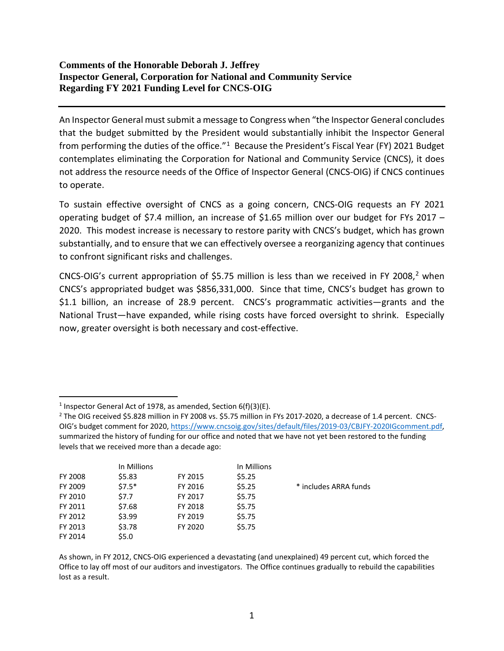## **Comments of the Honorable Deborah J. Jeffrey Inspector General, Corporation for National and Community Service Regarding FY 2021 Funding Level for CNCS-OIG**

An Inspector General must submit a message to Congress when "the Inspector General concludes that the budget submitted by the President would substantially inhibit the Inspector General from performing the duties of the office. $1^4$  $1^4$  Because the President's Fiscal Year (FY) 2021 Budget contemplates eliminating the Corporation for National and Community Service (CNCS), it does not address the resource needs of the Office of Inspector General (CNCS-OIG) if CNCS continues to operate.

To sustain effective oversight of CNCS as a going concern, CNCS-OIG requests an FY 2021 operating budget of \$7.4 million, an increase of \$1.65 million over our budget for FYs 2017 – 2020. This modest increase is necessary to restore parity with CNCS's budget, which has grown substantially, and to ensure that we can effectively oversee a reorganizing agency that continues to confront significant risks and challenges.

CNCS-OIG's current appropriation of \$5.75 million is less than we received in FY 2008, [2](#page-0-1) when CNCS's appropriated budget was \$856,331,000. Since that time, CNCS's budget has grown to \$1.1 billion, an increase of 28.9 percent. CNCS's programmatic activities—grants and the National Trust—have expanded, while rising costs have forced oversight to shrink. Especially now, greater oversight is both necessary and cost-effective.

<span id="page-0-1"></span><sup>&</sup>lt;sup>2</sup> The OIG received \$5.828 million in FY 2008 vs. \$5.75 million in FYs 2017-2020, a decrease of 1.4 percent. CNCS-OIG's budget comment for 2020[, https://www.cncsoig.gov/sites/default/files/2019-03/CBJFY-2020IGcomment.pdf,](https://www.cncsoig.gov/sites/default/files/2019-03/CBJFY-2020IGcomment.pdf)  summarized the history of funding for our office and noted that we have not yet been restored to the funding levels that we received more than a decade ago:

|         | In Millions |         | In Millions |                       |
|---------|-------------|---------|-------------|-----------------------|
| FY 2008 | \$5.83      | FY 2015 | \$5.25      |                       |
| FY 2009 | $$7.5*$     | FY 2016 | \$5.25      | * includes ARRA funds |
| FY 2010 | \$7.7       | FY 2017 | \$5.75      |                       |
| FY 2011 | \$7.68      | FY 2018 | \$5.75      |                       |
| FY 2012 | \$3.99      | FY 2019 | \$5.75      |                       |
| FY 2013 | \$3.78      | FY 2020 | \$5.75      |                       |
| FY 2014 | \$5.0       |         |             |                       |

As shown, in FY 2012, CNCS-OIG experienced a devastating (and unexplained) 49 percent cut, which forced the Office to lay off most of our auditors and investigators. The Office continues gradually to rebuild the capabilities lost as a result.

<span id="page-0-0"></span><sup>&</sup>lt;sup>1</sup> Inspector General Act of 1978, as amended, Section  $6(f)(3)(E)$ .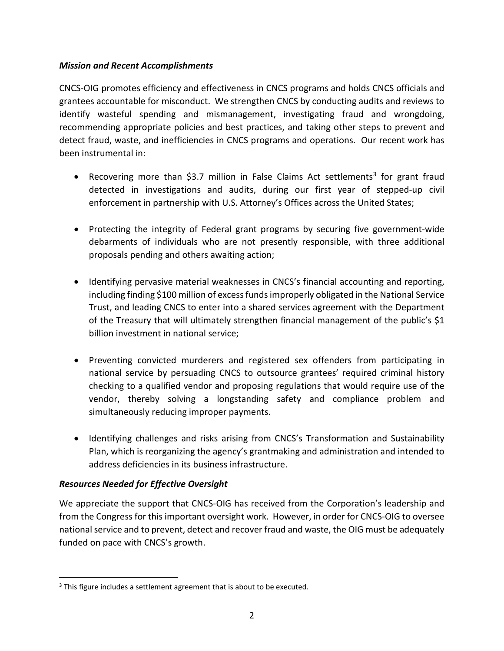## *Mission and Recent Accomplishments*

CNCS-OIG promotes efficiency and effectiveness in CNCS programs and holds CNCS officials and grantees accountable for misconduct. We strengthen CNCS by conducting audits and reviews to identify wasteful spending and mismanagement, investigating fraud and wrongdoing, recommending appropriate policies and best practices, and taking other steps to prevent and detect fraud, waste, and inefficiencies in CNCS programs and operations. Our recent work has been instrumental in:

- Recovering more than \$3.7 million in False Claims Act settlements<sup>3</sup> for grant fraud detected in investigations and audits, during our first year of stepped-up civil enforcement in partnership with U.S. Attorney's Offices across the United States;
- Protecting the integrity of Federal grant programs by securing five government-wide debarments of individuals who are not presently responsible, with three additional proposals pending and others awaiting action;
- Identifying pervasive material weaknesses in CNCS's financial accounting and reporting, including finding \$100 million of excess funds improperly obligated in the National Service Trust, and leading CNCS to enter into a shared services agreement with the Department of the Treasury that will ultimately strengthen financial management of the public's \$1 billion investment in national service;
- Preventing convicted murderers and registered sex offenders from participating in national service by persuading CNCS to outsource grantees' required criminal history checking to a qualified vendor and proposing regulations that would require use of the vendor, thereby solving a longstanding safety and compliance problem and simultaneously reducing improper payments.
- Identifying challenges and risks arising from CNCS's Transformation and Sustainability Plan, which is reorganizing the agency's grantmaking and administration and intended to address deficiencies in its business infrastructure.

## *Resources Needed for Effective Oversight*

We appreciate the support that CNCS-OIG has received from the Corporation's leadership and from the Congress for this important oversight work. However, in order for CNCS-OIG to oversee national service and to prevent, detect and recover fraud and waste, the OIG must be adequately funded on pace with CNCS's growth.

<span id="page-1-0"></span><sup>&</sup>lt;sup>3</sup> This figure includes a settlement agreement that is about to be executed.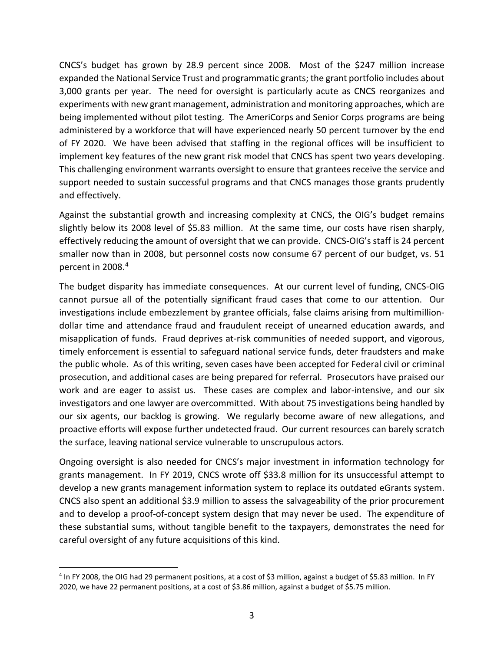CNCS's budget has grown by 28.9 percent since 2008. Most of the \$247 million increase expanded the National Service Trust and programmatic grants; the grant portfolio includes about 3,000 grants per year. The need for oversight is particularly acute as CNCS reorganizes and experiments with new grant management, administration and monitoring approaches, which are being implemented without pilot testing. The AmeriCorps and Senior Corps programs are being administered by a workforce that will have experienced nearly 50 percent turnover by the end of FY 2020. We have been advised that staffing in the regional offices will be insufficient to implement key features of the new grant risk model that CNCS has spent two years developing. This challenging environment warrants oversight to ensure that grantees receive the service and support needed to sustain successful programs and that CNCS manages those grants prudently and effectively.

Against the substantial growth and increasing complexity at CNCS, the OIG's budget remains slightly below its 2008 level of \$5.83 million. At the same time, our costs have risen sharply, effectively reducing the amount of oversight that we can provide. CNCS-OIG's staff is 24 percent smaller now than in 2008, but personnel costs now consume 67 percent of our budget, vs. 51 percent in 2008.[4](#page-2-0)

The budget disparity has immediate consequences. At our current level of funding, CNCS-OIG cannot pursue all of the potentially significant fraud cases that come to our attention. Our investigations include embezzlement by grantee officials, false claims arising from multimilliondollar time and attendance fraud and fraudulent receipt of unearned education awards, and misapplication of funds. Fraud deprives at-risk communities of needed support, and vigorous, timely enforcement is essential to safeguard national service funds, deter fraudsters and make the public whole. As of this writing, seven cases have been accepted for Federal civil or criminal prosecution, and additional cases are being prepared for referral. Prosecutors have praised our work and are eager to assist us. These cases are complex and labor-intensive, and our six investigators and one lawyer are overcommitted. With about 75 investigations being handled by our six agents, our backlog is growing. We regularly become aware of new allegations, and proactive efforts will expose further undetected fraud. Our current resources can barely scratch the surface, leaving national service vulnerable to unscrupulous actors.

Ongoing oversight is also needed for CNCS's major investment in information technology for grants management. In FY 2019, CNCS wrote off \$33.8 million for its unsuccessful attempt to develop a new grants management information system to replace its outdated eGrants system. CNCS also spent an additional \$3.9 million to assess the salvageability of the prior procurement and to develop a proof-of-concept system design that may never be used. The expenditure of these substantial sums, without tangible benefit to the taxpayers, demonstrates the need for careful oversight of any future acquisitions of this kind.

<span id="page-2-0"></span><sup>4</sup> In FY 2008, the OIG had 29 permanent positions, at a cost of \$3 million, against a budget of \$5.83 million. In FY 2020, we have 22 permanent positions, at a cost of \$3.86 million, against a budget of \$5.75 million.